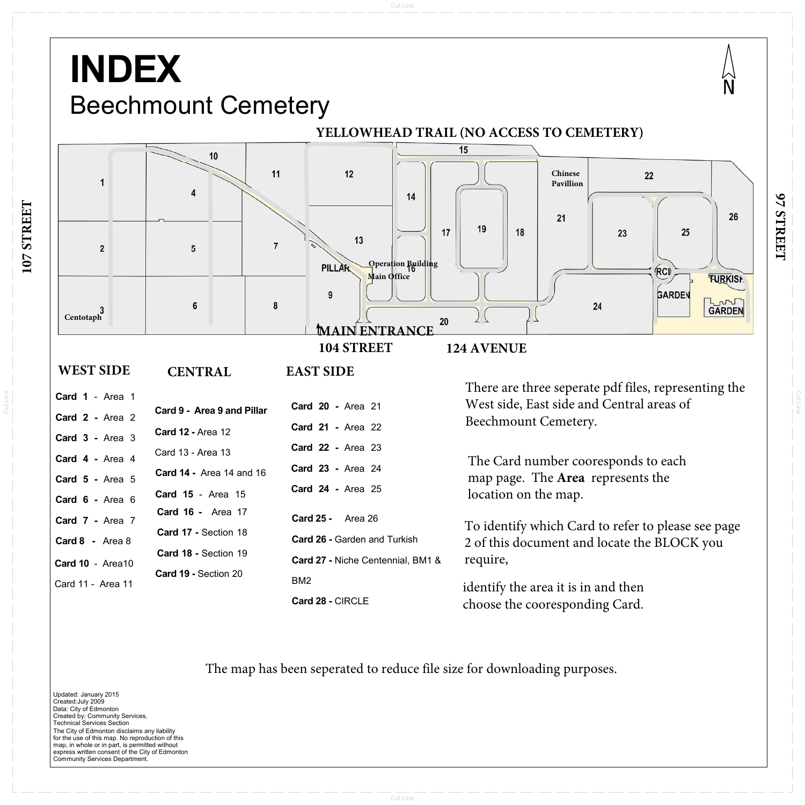Cut Line

Cut Line

Cut Line

## **INDEX** Beechmount Cemetery



26

The City of Edmonton disclaims any liability for the use of this map. No reproduction of this map, in whole or in part, is permitted without express written consent of the City of Edmonton Community Services Department. Updated: January 2015 Created:July 2009 Data: City of Edmonton Created by: Community Services, Technical Services Section

**107 STREET** 107 STREET

**Card <sup>28</sup> -** CIRCLE

choose the cooresponding Card.

**YELLOWHEAD TRAIL (NO ACCESS TO CEMETERY)**15 10  $11$  $12$ **Chinese** 22  $\overline{1}$ **Pavillion**14  $21$ 19  $17$ 18 25 23  $13$  $\overline{7}$  $\overline{2}$  $5\phantom{.0}$ **Operation Building PILLAR** RCI **FURKIST Main OfficeGARDEN** 9 **LOTURI** 6 8 24 **Centotaph**20 **MAIN ENTRANCE104 STREET124 AVENUE EAST SIDE WEST SIDE CENTRAL**There are three seperate pdf files, representing the **Card 1** - Area 1West side, East side and Central areas of **Card 20 - Area 21 Card 9 - Area 9 and PillarCard 2 -** Area 2Beechmount Cemetery. **Card 21 -** Area <sup>22</sup>**Card 12 -** Area 12**Card 3 -** Area 3 **Card 22 -** Area <sup>23</sup>Card 13 - Area 13**Card 4 -** Area 4The Card number cooresponds to each **Card 23 -** Area 24 **Card <sup>14</sup> -** Area 14 and 16 map page. The **Area** represents the **Card 5 -** Area <sup>5</sup>**Card 24 -** Area 25 location on the map. **Card 15** - Area <sup>15</sup> **Card 6 -** Area 6 **Card 16 -** Area 17**Card 25 -** Area 26**Card 7 -** Area 7 To identify which Card to refer to please see page **Card 17 -** Section 18**Card <sup>26</sup> -** Garden and Turkish 2 of this document and locate the BLOCK you **Card 8 -** Area 8**Card 18 -** Section 19require, **Card <sup>27</sup> -** Niche Centennial, BM1 & **Card <sup>10</sup>** - Area<sup>10</sup> **Card 19 -** Section 20BM2Card 11 - Area 11identify the area it is in and then

#### The map has been seperated to reduce file size for downloading purposes.

# **97 STREET**